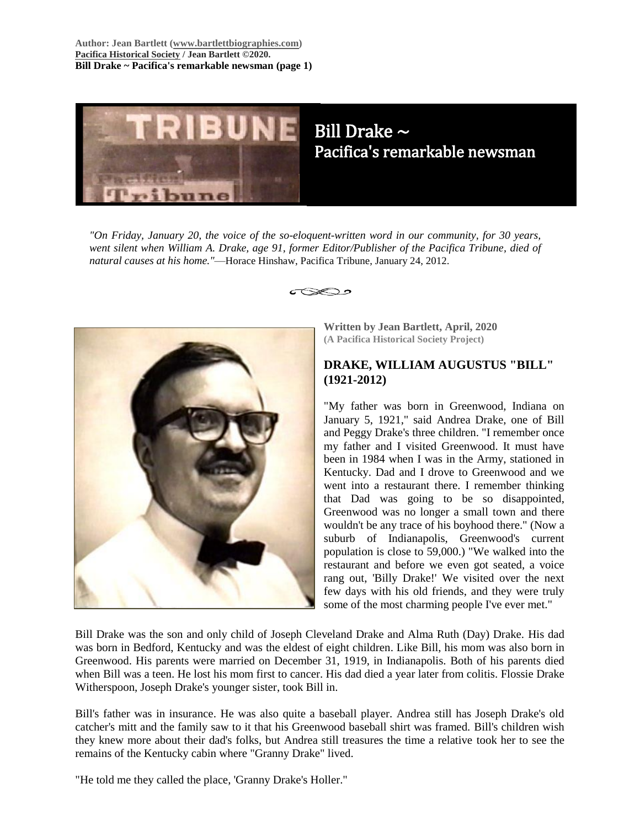**Author: Jean Bartlett [\(www.bartlettbiographies.com\)](http://www.bartlettbiographies.com/) [Pacifica Historical Society](http://pacificahistory.org/) / Jean Bartlett ©2020. Bill Drake ~ Pacifica's remarkable newsman (page 1)**



# Bill Drake ~ Pacifica's remarkable newsman

*"On Friday, January 20, the voice of the so-eloquent-written word in our community, for 30 years, went silent when William A. Drake, age 91, former Editor/Publisher of the Pacifica Tribune, died of natural causes at his home."*—Horace Hinshaw, Pacifica Tribune, January 24, 2012.

⊂≫ລ∘



**Written by Jean Bartlett, April, 2020 (A Pacifica Historical Society Project)**

## **DRAKE, WILLIAM AUGUSTUS "BILL" (1921-2012)**

"My father was born in Greenwood, Indiana on January 5, 1921," said Andrea Drake, one of Bill and Peggy Drake's three children. "I remember once my father and I visited Greenwood. It must have been in 1984 when I was in the Army, stationed in Kentucky. Dad and I drove to Greenwood and we went into a restaurant there. I remember thinking that Dad was going to be so disappointed, Greenwood was no longer a small town and there wouldn't be any trace of his boyhood there." (Now a suburb of Indianapolis, Greenwood's current population is close to 59,000.) "We walked into the restaurant and before we even got seated, a voice rang out, 'Billy Drake!' We visited over the next few days with his old friends, and they were truly some of the most charming people I've ever met."

Bill Drake was the son and only child of Joseph Cleveland Drake and Alma Ruth (Day) Drake. His dad was born in Bedford, Kentucky and was the eldest of eight children. Like Bill, his mom was also born in Greenwood. His parents were married on December 31, 1919, in Indianapolis. Both of his parents died when Bill was a teen. He lost his mom first to cancer. His dad died a year later from colitis. Flossie Drake Witherspoon, Joseph Drake's younger sister, took Bill in.

Bill's father was in insurance. He was also quite a baseball player. Andrea still has Joseph Drake's old catcher's mitt and the family saw to it that his Greenwood baseball shirt was framed. Bill's children wish they knew more about their dad's folks, but Andrea still treasures the time a relative took her to see the remains of the Kentucky cabin where "Granny Drake" lived.

"He told me they called the place, 'Granny Drake's Holler."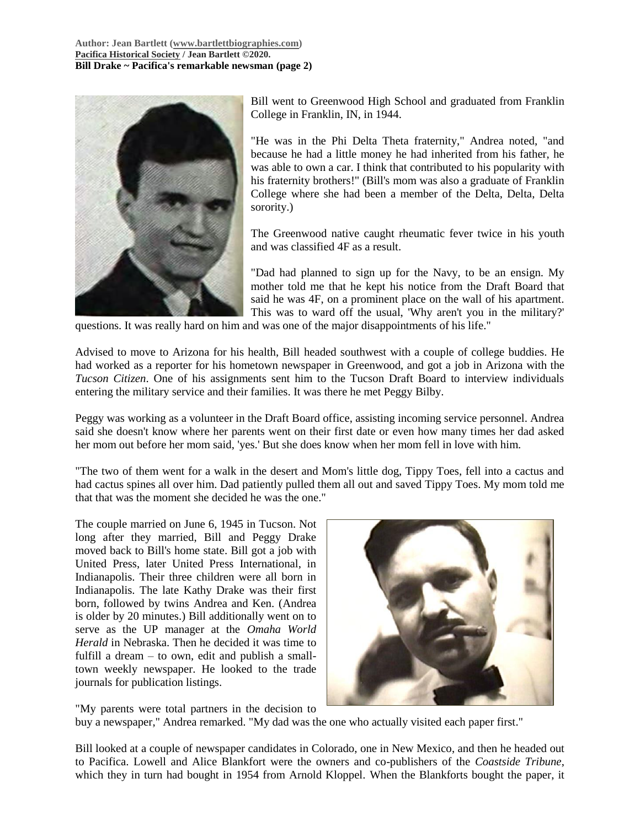

Bill went to Greenwood High School and graduated from Franklin College in Franklin, IN, in 1944.

"He was in the Phi Delta Theta fraternity," Andrea noted, "and because he had a little money he had inherited from his father, he was able to own a car. I think that contributed to his popularity with his fraternity brothers!" (Bill's mom was also a graduate of Franklin College where she had been a member of the Delta, Delta, Delta sorority.)

The Greenwood native caught rheumatic fever twice in his youth and was classified 4F as a result.

"Dad had planned to sign up for the Navy, to be an ensign. My mother told me that he kept his notice from the Draft Board that said he was 4F, on a prominent place on the wall of his apartment. This was to ward off the usual, 'Why aren't you in the military?'

questions. It was really hard on him and was one of the major disappointments of his life."

Advised to move to Arizona for his health, Bill headed southwest with a couple of college buddies. He had worked as a reporter for his hometown newspaper in Greenwood, and got a job in Arizona with the *Tucson Citizen*. One of his assignments sent him to the Tucson Draft Board to interview individuals entering the military service and their families. It was there he met Peggy Bilby.

Peggy was working as a volunteer in the Draft Board office, assisting incoming service personnel. Andrea said she doesn't know where her parents went on their first date or even how many times her dad asked her mom out before her mom said, 'yes.' But she does know when her mom fell in love with him.

"The two of them went for a walk in the desert and Mom's little dog, Tippy Toes, fell into a cactus and had cactus spines all over him. Dad patiently pulled them all out and saved Tippy Toes. My mom told me that that was the moment she decided he was the one."

The couple married on June 6, 1945 in Tucson. Not long after they married, Bill and Peggy Drake moved back to Bill's home state. Bill got a job with United Press, later United Press International, in Indianapolis. Their three children were all born in Indianapolis. The late Kathy Drake was their first born, followed by twins Andrea and Ken. (Andrea is older by 20 minutes.) Bill additionally went on to serve as the UP manager at the *Omaha World Herald* in Nebraska. Then he decided it was time to fulfill a dream – to own, edit and publish a smalltown weekly newspaper. He looked to the trade journals for publication listings.



"My parents were total partners in the decision to buy a newspaper," Andrea remarked. "My dad was the one who actually visited each paper first."

Bill looked at a couple of newspaper candidates in Colorado, one in New Mexico, and then he headed out to Pacifica. Lowell and Alice Blankfort were the owners and co-publishers of the *Coastside Tribune*, which they in turn had bought in 1954 from Arnold Kloppel. When the Blankforts bought the paper, it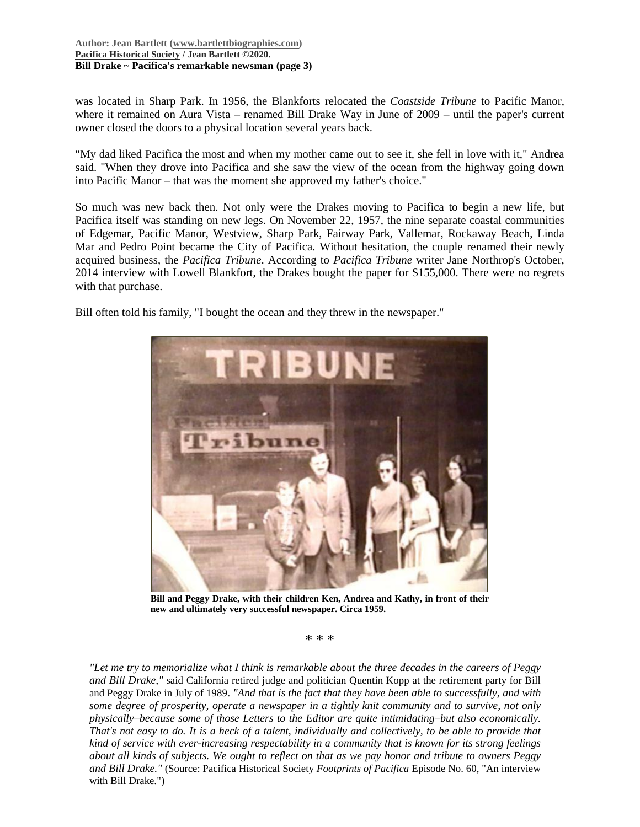#### **Author: Jean Bartlett [\(www.bartlettbiographies.com\)](http://www.bartlettbiographies.com/) [Pacifica Historical Society](http://pacificahistory.org/) / Jean Bartlett ©2020. Bill Drake ~ Pacifica's remarkable newsman (page 3)**

was located in Sharp Park. In 1956, the Blankforts relocated the *Coastside Tribune* to Pacific Manor, where it remained on Aura Vista – renamed Bill Drake Way in June of 2009 – until the paper's current owner closed the doors to a physical location several years back.

"My dad liked Pacifica the most and when my mother came out to see it, she fell in love with it," Andrea said. "When they drove into Pacifica and she saw the view of the ocean from the highway going down into Pacific Manor – that was the moment she approved my father's choice."

So much was new back then. Not only were the Drakes moving to Pacifica to begin a new life, but Pacifica itself was standing on new legs. On November 22, 1957, the nine separate coastal communities of Edgemar, Pacific Manor, Westview, Sharp Park, Fairway Park, Vallemar, Rockaway Beach, Linda Mar and Pedro Point became the City of Pacifica. Without hesitation, the couple renamed their newly acquired business, the *Pacifica Tribune*. According to *Pacifica Tribune* writer Jane Northrop's October, 2014 interview with Lowell Blankfort, the Drakes bought the paper for \$155,000. There were no regrets with that purchase.

Bill often told his family, "I bought the ocean and they threw in the newspaper."



**Bill and Peggy Drake, with their children Ken, Andrea and Kathy, in front of their new and ultimately very successful newspaper. Circa 1959.**

\* \* \*

*"Let me try to memorialize what I think is remarkable about the three decades in the careers of Peggy and Bill Drake,"* said California retired judge and politician Quentin Kopp at the retirement party for Bill and Peggy Drake in July of 1989. *"And that is the fact that they have been able to successfully, and with some degree of prosperity, operate a newspaper in a tightly knit community and to survive, not only physically–because some of those Letters to the Editor are quite intimidating–but also economically. That's not easy to do. It is a heck of a talent, individually and collectively, to be able to provide that kind of service with ever-increasing respectability in a community that is known for its strong feelings about all kinds of subjects. We ought to reflect on that as we pay honor and tribute to owners Peggy and Bill Drake."* (Source: Pacifica Historical Society *Footprints of Pacifica* Episode No. 60, "An interview with Bill Drake.")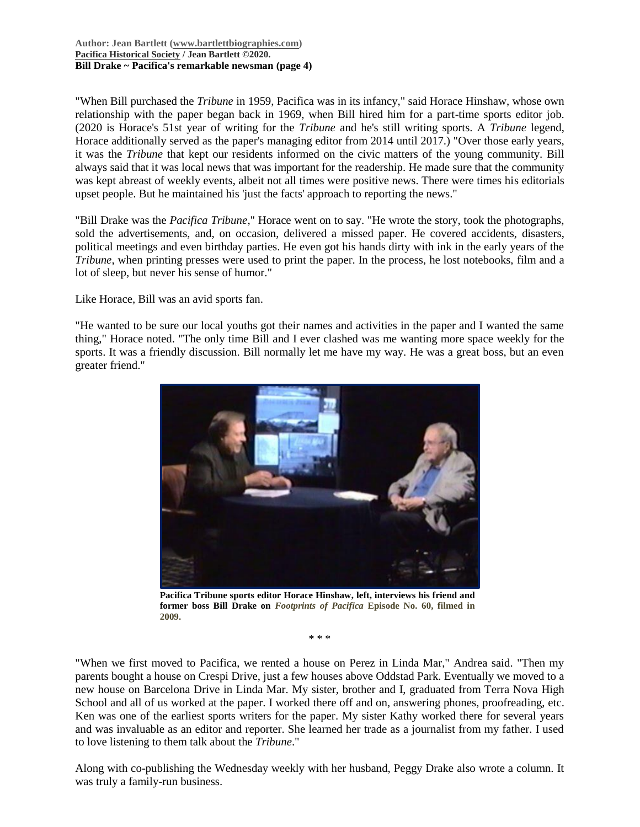"When Bill purchased the *Tribune* in 1959, Pacifica was in its infancy," said Horace Hinshaw, whose own relationship with the paper began back in 1969, when Bill hired him for a part-time sports editor job. (2020 is Horace's 51st year of writing for the *Tribune* and he's still writing sports. A *Tribune* legend, Horace additionally served as the paper's managing editor from 2014 until 2017.) "Over those early years, it was the *Tribune* that kept our residents informed on the civic matters of the young community. Bill always said that it was local news that was important for the readership. He made sure that the community was kept abreast of weekly events, albeit not all times were positive news. There were times his editorials upset people. But he maintained his 'just the facts' approach to reporting the news."

"Bill Drake was the *Pacifica Tribune*," Horace went on to say. "He wrote the story, took the photographs, sold the advertisements, and, on occasion, delivered a missed paper. He covered accidents, disasters, political meetings and even birthday parties. He even got his hands dirty with ink in the early years of the *Tribune*, when printing presses were used to print the paper. In the process, he lost notebooks, film and a lot of sleep, but never his sense of humor."

Like Horace, Bill was an avid sports fan.

"He wanted to be sure our local youths got their names and activities in the paper and I wanted the same thing," Horace noted. "The only time Bill and I ever clashed was me wanting more space weekly for the sports. It was a friendly discussion. Bill normally let me have my way. He was a great boss, but an even greater friend."



**Pacifica Tribune sports editor Horace Hinshaw, left, interviews his friend and former boss Bill Drake on** *Footprints of Pacifica* **Episode No. 60, filmed in 2009.**

\* \* \*

"When we first moved to Pacifica, we rented a house on Perez in Linda Mar," Andrea said. "Then my parents bought a house on Crespi Drive, just a few houses above Oddstad Park. Eventually we moved to a new house on Barcelona Drive in Linda Mar. My sister, brother and I, graduated from Terra Nova High School and all of us worked at the paper. I worked there off and on, answering phones, proofreading, etc. Ken was one of the earliest sports writers for the paper. My sister Kathy worked there for several years and was invaluable as an editor and reporter. She learned her trade as a journalist from my father. I used to love listening to them talk about the *Tribune*."

Along with co-publishing the Wednesday weekly with her husband, Peggy Drake also wrote a column. It was truly a family-run business.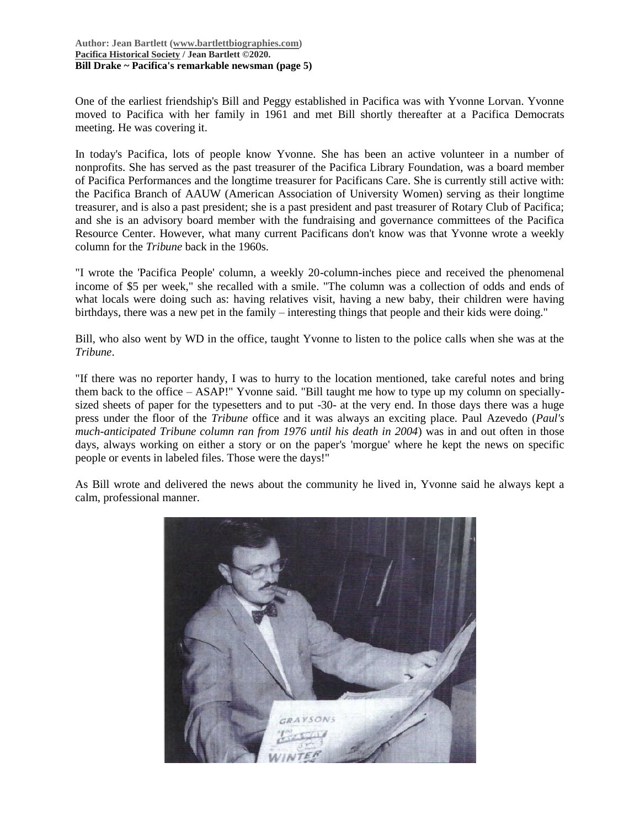#### **Author: Jean Bartlett [\(www.bartlettbiographies.com\)](http://www.bartlettbiographies.com/) [Pacifica Historical Society](http://pacificahistory.org/) / Jean Bartlett ©2020. Bill Drake ~ Pacifica's remarkable newsman (page 5)**

One of the earliest friendship's Bill and Peggy established in Pacifica was with Yvonne Lorvan. Yvonne moved to Pacifica with her family in 1961 and met Bill shortly thereafter at a Pacifica Democrats meeting. He was covering it.

In today's Pacifica, lots of people know Yvonne. She has been an active volunteer in a number of nonprofits. She has served as the past treasurer of the Pacifica Library Foundation, was a board member of Pacifica Performances and the longtime treasurer for Pacificans Care. She is currently still active with: the Pacifica Branch of AAUW (American Association of University Women) serving as their longtime treasurer, and is also a past president; she is a past president and past treasurer of Rotary Club of Pacifica; and she is an advisory board member with the fundraising and governance committees of the Pacifica Resource Center. However, what many current Pacificans don't know was that Yvonne wrote a weekly column for the *Tribune* back in the 1960s.

"I wrote the 'Pacifica People' column, a weekly 20-column-inches piece and received the phenomenal income of \$5 per week," she recalled with a smile. "The column was a collection of odds and ends of what locals were doing such as: having relatives visit, having a new baby, their children were having birthdays, there was a new pet in the family – interesting things that people and their kids were doing."

Bill, who also went by WD in the office, taught Yvonne to listen to the police calls when she was at the *Tribune*.

"If there was no reporter handy, I was to hurry to the location mentioned, take careful notes and bring them back to the office – ASAP!" Yvonne said. "Bill taught me how to type up my column on speciallysized sheets of paper for the typesetters and to put -30- at the very end. In those days there was a huge press under the floor of the *Tribune* office and it was always an exciting place. Paul Azevedo (*Paul's much-anticipated Tribune column ran from 1976 until his death in 2004*) was in and out often in those days, always working on either a story or on the paper's 'morgue' where he kept the news on specific people or events in labeled files. Those were the days!"

As Bill wrote and delivered the news about the community he lived in, Yvonne said he always kept a calm, professional manner.

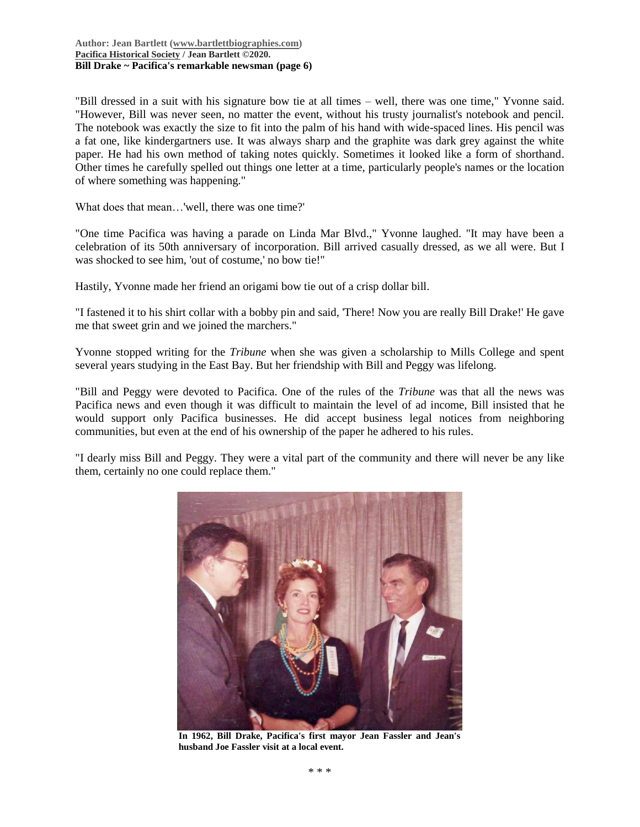"Bill dressed in a suit with his signature bow tie at all times – well, there was one time," Yvonne said. "However, Bill was never seen, no matter the event, without his trusty journalist's notebook and pencil. The notebook was exactly the size to fit into the palm of his hand with wide-spaced lines. His pencil was a fat one, like kindergartners use. It was always sharp and the graphite was dark grey against the white paper. He had his own method of taking notes quickly. Sometimes it looked like a form of shorthand. Other times he carefully spelled out things one letter at a time, particularly people's names or the location of where something was happening."

What does that mean…'well, there was one time?'

"One time Pacifica was having a parade on Linda Mar Blvd.," Yvonne laughed. "It may have been a celebration of its 50th anniversary of incorporation. Bill arrived casually dressed, as we all were. But I was shocked to see him, 'out of costume,' no bow tie!"

Hastily, Yvonne made her friend an origami bow tie out of a crisp dollar bill.

"I fastened it to his shirt collar with a bobby pin and said, 'There! Now you are really Bill Drake!' He gave me that sweet grin and we joined the marchers."

Yvonne stopped writing for the *Tribune* when she was given a scholarship to Mills College and spent several years studying in the East Bay. But her friendship with Bill and Peggy was lifelong.

"Bill and Peggy were devoted to Pacifica. One of the rules of the *Tribune* was that all the news was Pacifica news and even though it was difficult to maintain the level of ad income, Bill insisted that he would support only Pacifica businesses. He did accept business legal notices from neighboring communities, but even at the end of his ownership of the paper he adhered to his rules.

"I dearly miss Bill and Peggy. They were a vital part of the community and there will never be any like them, certainly no one could replace them."



**In 1962, Bill Drake, Pacifica's first mayor Jean Fassler and Jean's husband Joe Fassler visit at a local event.**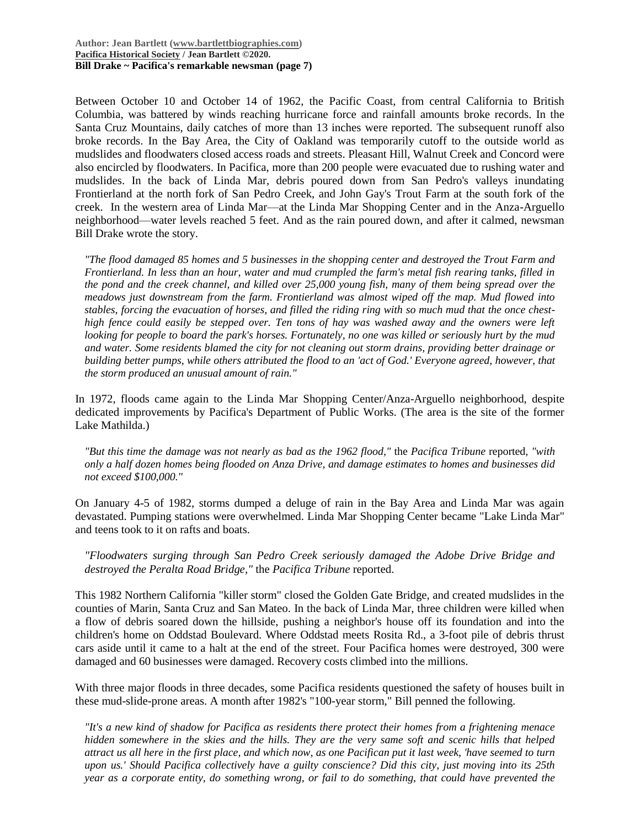Between October 10 and October 14 of 1962, the Pacific Coast, from central California to British Columbia, was battered by winds reaching hurricane force and rainfall amounts broke records. In the Santa Cruz Mountains, daily catches of more than 13 inches were reported. The subsequent runoff also broke records. In the Bay Area, the City of Oakland was temporarily cutoff to the outside world as mudslides and floodwaters closed access roads and streets. Pleasant Hill, Walnut Creek and Concord were also encircled by floodwaters. In Pacifica, more than 200 people were evacuated due to rushing water and mudslides. In the back of Linda Mar, debris poured down from San Pedro's valleys inundating Frontierland at the north fork of San Pedro Creek, and John Gay's Trout Farm at the south fork of the creek. In the western area of Linda Mar—at the Linda Mar Shopping Center and in the Anza-Arguello neighborhood—water levels reached 5 feet. And as the rain poured down, and after it calmed, newsman Bill Drake wrote the story.

*"The flood damaged 85 homes and 5 businesses in the shopping center and destroyed the Trout Farm and Frontierland. In less than an hour, water and mud crumpled the farm's metal fish rearing tanks, filled in the pond and the creek channel, and killed over 25,000 young fish, many of them being spread over the meadows just downstream from the farm. Frontierland was almost wiped off the map. Mud flowed into stables, forcing the evacuation of horses, and filled the riding ring with so much mud that the once chesthigh fence could easily be stepped over. Ten tons of hay was washed away and the owners were left looking for people to board the park's horses. Fortunately, no one was killed or seriously hurt by the mud and water. Some residents blamed the city for not cleaning out storm drains, providing better drainage or building better pumps, while others attributed the flood to an 'act of God.' Everyone agreed, however, that the storm produced an unusual amount of rain."*

In 1972, floods came again to the Linda Mar Shopping Center/Anza-Arguello neighborhood, despite dedicated improvements by Pacifica's Department of Public Works. (The area is the site of the former Lake Mathilda.)

*"But this time the damage was not nearly as bad as the 1962 flood,"* the *Pacifica Tribune* reported*, "with only a half dozen homes being flooded on Anza Drive, and damage estimates to homes and businesses did not exceed \$100,000."*

On January 4-5 of 1982, storms dumped a deluge of rain in the Bay Area and Linda Mar was again devastated. Pumping stations were overwhelmed. Linda Mar Shopping Center became "Lake Linda Mar" and teens took to it on rafts and boats.

*"Floodwaters surging through San Pedro Creek seriously damaged the Adobe Drive Bridge and destroyed the Peralta Road Bridge,"* the *Pacifica Tribune* reported.

This 1982 Northern California "killer storm" closed the Golden Gate Bridge, and created mudslides in the counties of Marin, Santa Cruz and San Mateo. In the back of Linda Mar, three children were killed when a flow of debris soared down the hillside, pushing a neighbor's house off its foundation and into the children's home on Oddstad Boulevard. Where Oddstad meets Rosita Rd., a 3-foot pile of debris thrust cars aside until it came to a halt at the end of the street. Four Pacifica homes were destroyed, 300 were damaged and 60 businesses were damaged. Recovery costs climbed into the millions.

With three major floods in three decades, some Pacifica residents questioned the safety of houses built in these mud-slide-prone areas. A month after 1982's "100-year storm," Bill penned the following.

*"It's a new kind of shadow for Pacifica as residents there protect their homes from a frightening menace hidden somewhere in the skies and the hills. They are the very same soft and scenic hills that helped attract us all here in the first place, and which now, as one Pacifican put it last week, 'have seemed to turn upon us.' Should Pacifica collectively have a guilty conscience? Did this city, just moving into its 25th year as a corporate entity, do something wrong, or fail to do something, that could have prevented the*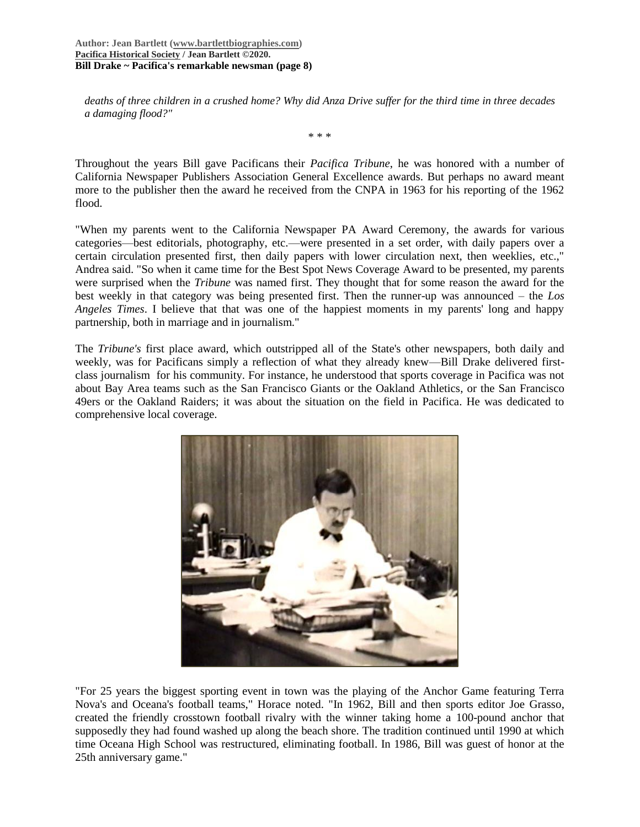**Author: Jean Bartlett [\(www.bartlettbiographies.com\)](http://www.bartlettbiographies.com/) [Pacifica Historical Society](http://pacificahistory.org/) / Jean Bartlett ©2020. Bill Drake ~ Pacifica's remarkable newsman (page 8)**

*deaths of three children in a crushed home? Why did Anza Drive suffer for the third time in three decades a damaging flood?"*

\* \* \*

Throughout the years Bill gave Pacificans their *Pacifica Tribune*, he was honored with a number of California Newspaper Publishers Association General Excellence awards. But perhaps no award meant more to the publisher then the award he received from the CNPA in 1963 for his reporting of the 1962 flood.

"When my parents went to the California Newspaper PA Award Ceremony, the awards for various categories—best editorials, photography, etc.—were presented in a set order, with daily papers over a certain circulation presented first, then daily papers with lower circulation next, then weeklies, etc.," Andrea said. "So when it came time for the Best Spot News Coverage Award to be presented, my parents were surprised when the *Tribune* was named first. They thought that for some reason the award for the best weekly in that category was being presented first. Then the runner-up was announced – the *Los Angeles Times*. I believe that that was one of the happiest moments in my parents' long and happy partnership, both in marriage and in journalism."

The *Tribune's* first place award, which outstripped all of the State's other newspapers, both daily and weekly, was for Pacificans simply a reflection of what they already knew—Bill Drake delivered firstclass journalism for his community. For instance, he understood that sports coverage in Pacifica was not about Bay Area teams such as the San Francisco Giants or the Oakland Athletics, or the San Francisco 49ers or the Oakland Raiders; it was about the situation on the field in Pacifica. He was dedicated to comprehensive local coverage.



"For 25 years the biggest sporting event in town was the playing of the Anchor Game featuring Terra Nova's and Oceana's football teams," Horace noted. "In 1962, Bill and then sports editor Joe Grasso, created the friendly crosstown football rivalry with the winner taking home a 100-pound anchor that supposedly they had found washed up along the beach shore. The tradition continued until 1990 at which time Oceana High School was restructured, eliminating football. In 1986, Bill was guest of honor at the 25th anniversary game."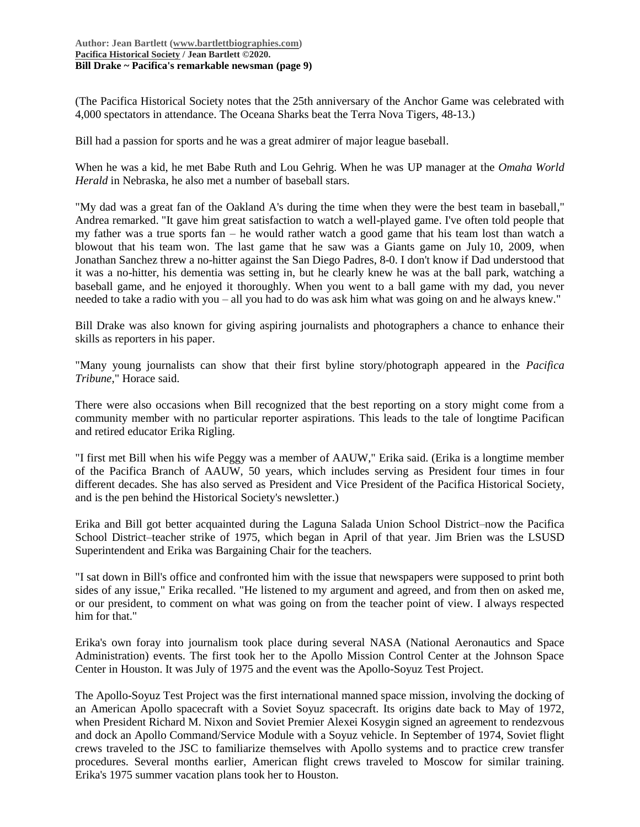(The Pacifica Historical Society notes that the 25th anniversary of the Anchor Game was celebrated with 4,000 spectators in attendance. The Oceana Sharks beat the Terra Nova Tigers, 48-13.)

Bill had a passion for sports and he was a great admirer of major league baseball.

When he was a kid, he met Babe Ruth and Lou Gehrig. When he was UP manager at the *Omaha World Herald* in Nebraska, he also met a number of baseball stars.

"My dad was a great fan of the Oakland A's during the time when they were the best team in baseball," Andrea remarked. "It gave him great satisfaction to watch a well-played game. I've often told people that my father was a true sports fan – he would rather watch a good game that his team lost than watch a blowout that his team won. The last game that he saw was a Giants game on July 10, 2009, when Jonathan Sanchez threw a no-hitter against the San Diego Padres, 8-0. I don't know if Dad understood that it was a no-hitter, his dementia was setting in, but he clearly knew he was at the ball park, watching a baseball game, and he enjoyed it thoroughly. When you went to a ball game with my dad, you never needed to take a radio with you – all you had to do was ask him what was going on and he always knew."

Bill Drake was also known for giving aspiring journalists and photographers a chance to enhance their skills as reporters in his paper.

"Many young journalists can show that their first byline story/photograph appeared in the *Pacifica Tribune*," Horace said.

There were also occasions when Bill recognized that the best reporting on a story might come from a community member with no particular reporter aspirations. This leads to the tale of longtime Pacifican and retired educator Erika Rigling.

"I first met Bill when his wife Peggy was a member of AAUW," Erika said. (Erika is a longtime member of the Pacifica Branch of AAUW, 50 years, which includes serving as President four times in four different decades. She has also served as President and Vice President of the Pacifica Historical Society, and is the pen behind the Historical Society's newsletter.)

Erika and Bill got better acquainted during the Laguna Salada Union School District–now the Pacifica School District–teacher strike of 1975, which began in April of that year. Jim Brien was the LSUSD Superintendent and Erika was Bargaining Chair for the teachers.

"I sat down in Bill's office and confronted him with the issue that newspapers were supposed to print both sides of any issue," Erika recalled. "He listened to my argument and agreed, and from then on asked me, or our president, to comment on what was going on from the teacher point of view. I always respected him for that."

Erika's own foray into journalism took place during several NASA (National Aeronautics and Space Administration) events. The first took her to the Apollo Mission Control Center at the Johnson Space Center in Houston. It was July of 1975 and the event was the Apollo-Soyuz Test Project.

The Apollo-Soyuz Test Project was the first international manned space mission, involving the docking of an American Apollo spacecraft with a Soviet Soyuz spacecraft. Its origins date back to May of 1972, when President Richard M. Nixon and Soviet Premier Alexei Kosygin signed an agreement to rendezvous and dock an Apollo Command/Service Module with a Soyuz vehicle. In September of 1974, Soviet flight crews traveled to the JSC to familiarize themselves with Apollo systems and to practice crew transfer procedures. Several months earlier, American flight crews traveled to Moscow for similar training. Erika's 1975 summer vacation plans took her to Houston.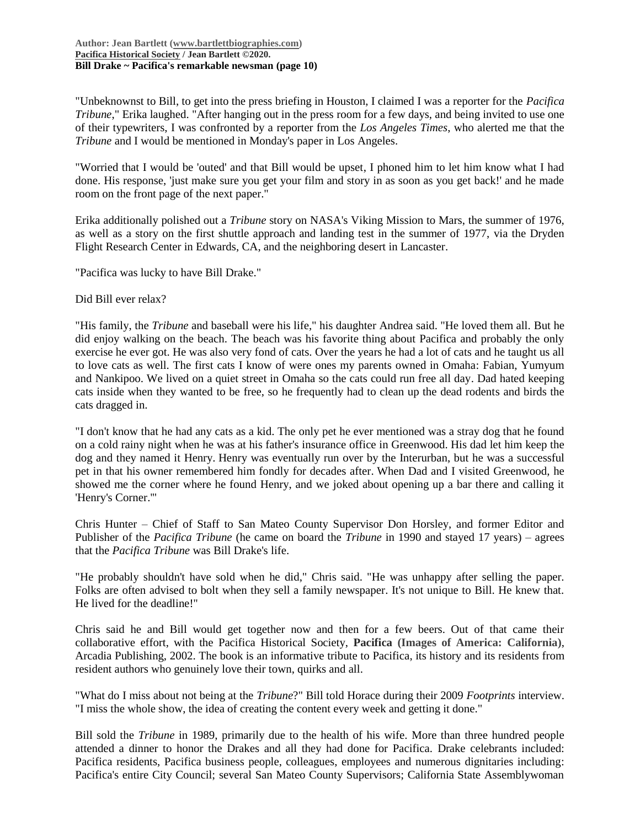"Unbeknownst to Bill, to get into the press briefing in Houston, I claimed I was a reporter for the *Pacifica Tribune*," Erika laughed. "After hanging out in the press room for a few days, and being invited to use one of their typewriters, I was confronted by a reporter from the *Los Angeles Times*, who alerted me that the *Tribune* and I would be mentioned in Monday's paper in Los Angeles.

"Worried that I would be 'outed' and that Bill would be upset, I phoned him to let him know what I had done. His response, 'just make sure you get your film and story in as soon as you get back!' and he made room on the front page of the next paper."

Erika additionally polished out a *Tribune* story on NASA's Viking Mission to Mars, the summer of 1976, as well as a story on the first shuttle approach and landing test in the summer of 1977, via the Dryden Flight Research Center in Edwards, CA, and the neighboring desert in Lancaster.

"Pacifica was lucky to have Bill Drake."

Did Bill ever relax?

"His family, the *Tribune* and baseball were his life," his daughter Andrea said. "He loved them all. But he did enjoy walking on the beach. The beach was his favorite thing about Pacifica and probably the only exercise he ever got. He was also very fond of cats. Over the years he had a lot of cats and he taught us all to love cats as well. The first cats I know of were ones my parents owned in Omaha: Fabian, Yumyum and Nankipoo. We lived on a quiet street in Omaha so the cats could run free all day. Dad hated keeping cats inside when they wanted to be free, so he frequently had to clean up the dead rodents and birds the cats dragged in.

"I don't know that he had any cats as a kid. The only pet he ever mentioned was a stray dog that he found on a cold rainy night when he was at his father's insurance office in Greenwood. His dad let him keep the dog and they named it Henry. Henry was eventually run over by the Interurban, but he was a successful pet in that his owner remembered him fondly for decades after. When Dad and I visited Greenwood, he showed me the corner where he found Henry, and we joked about opening up a bar there and calling it 'Henry's Corner.'"

Chris Hunter – Chief of Staff to San Mateo County Supervisor Don Horsley, and former Editor and Publisher of the *Pacifica Tribune* (he came on board the *Tribune* in 1990 and stayed 17 years) – agrees that the *Pacifica Tribune* was Bill Drake's life.

"He probably shouldn't have sold when he did," Chris said. "He was unhappy after selling the paper. Folks are often advised to bolt when they sell a family newspaper. It's not unique to Bill. He knew that. He lived for the deadline!"

Chris said he and Bill would get together now and then for a few beers. Out of that came their collaborative effort, with the Pacifica Historical Society, **Pacifica (Images of America: California)**, Arcadia Publishing, 2002. The book is an informative tribute to Pacifica, its history and its residents from resident authors who genuinely love their town, quirks and all.

"What do I miss about not being at the *Tribune*?" Bill told Horace during their 2009 *Footprints* interview. "I miss the whole show, the idea of creating the content every week and getting it done."

Bill sold the *Tribune* in 1989, primarily due to the health of his wife. More than three hundred people attended a dinner to honor the Drakes and all they had done for Pacifica. Drake celebrants included: Pacifica residents, Pacifica business people, colleagues, employees and numerous dignitaries including: Pacifica's entire City Council; several San Mateo County Supervisors; California State Assemblywoman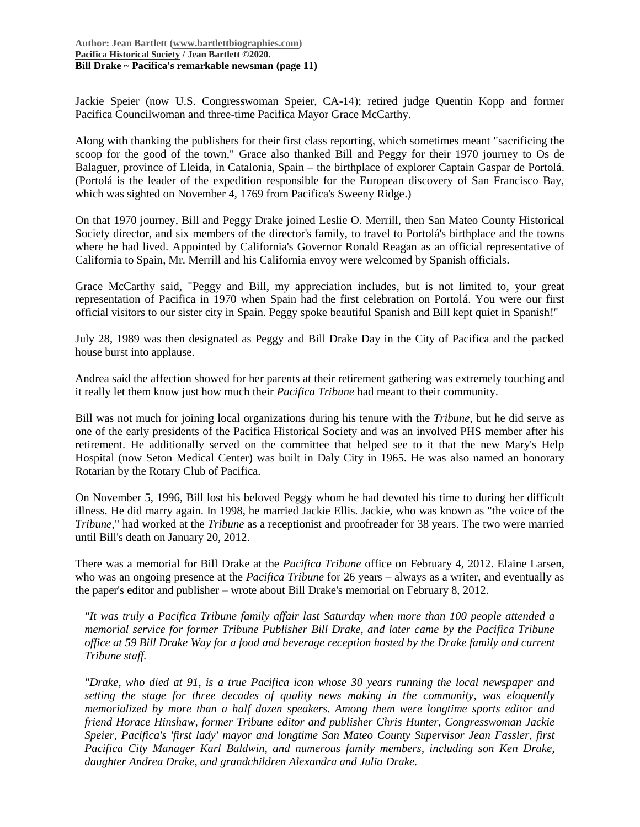Jackie Speier (now U.S. Congresswoman Speier, CA-14); retired judge Quentin Kopp and former Pacifica Councilwoman and three-time Pacifica Mayor Grace McCarthy.

Along with thanking the publishers for their first class reporting, which sometimes meant "sacrificing the scoop for the good of the town," Grace also thanked Bill and Peggy for their 1970 journey to Os de Balaguer, province of Lleida, in Catalonia, Spain – the birthplace of explorer Captain Gaspar de Portolá. (Portolá is the leader of the expedition responsible for the European discovery of San Francisco Bay, which was sighted on November 4, 1769 from Pacifica's Sweeny Ridge.)

On that 1970 journey, Bill and Peggy Drake joined Leslie O. Merrill, then San Mateo County Historical Society director, and six members of the director's family, to travel to Portolá's birthplace and the towns where he had lived. Appointed by California's Governor Ronald Reagan as an official representative of California to Spain, Mr. Merrill and his California envoy were welcomed by Spanish officials.

Grace McCarthy said, "Peggy and Bill, my appreciation includes, but is not limited to, your great representation of Pacifica in 1970 when Spain had the first celebration on Portolá. You were our first official visitors to our sister city in Spain. Peggy spoke beautiful Spanish and Bill kept quiet in Spanish!"

July 28, 1989 was then designated as Peggy and Bill Drake Day in the City of Pacifica and the packed house burst into applause.

Andrea said the affection showed for her parents at their retirement gathering was extremely touching and it really let them know just how much their *Pacifica Tribune* had meant to their community.

Bill was not much for joining local organizations during his tenure with the *Tribune*, but he did serve as one of the early presidents of the Pacifica Historical Society and was an involved PHS member after his retirement. He additionally served on the committee that helped see to it that the new Mary's Help Hospital (now Seton Medical Center) was built in Daly City in 1965. He was also named an honorary Rotarian by the Rotary Club of Pacifica.

On November 5, 1996, Bill lost his beloved Peggy whom he had devoted his time to during her difficult illness. He did marry again. In 1998, he married Jackie Ellis. Jackie, who was known as "the voice of the *Tribune*," had worked at the *Tribune* as a receptionist and proofreader for 38 years. The two were married until Bill's death on January 20, 2012.

There was a memorial for Bill Drake at the *Pacifica Tribune* office on February 4, 2012. Elaine Larsen, who was an ongoing presence at the *Pacifica Tribune* for 26 years – always as a writer, and eventually as the paper's editor and publisher – wrote about Bill Drake's memorial on February 8, 2012.

*"It was truly a Pacifica Tribune family affair last Saturday when more than 100 people attended a memorial service for former Tribune Publisher Bill Drake, and later came by the Pacifica Tribune office at 59 Bill Drake Way for a food and beverage reception hosted by the Drake family and current Tribune staff.*

*"Drake, who died at 91, is a true Pacifica icon whose 30 years running the local newspaper and setting the stage for three decades of quality news making in the community, was eloquently memorialized by more than a half dozen speakers. Among them were longtime sports editor and friend Horace Hinshaw, former Tribune editor and publisher Chris Hunter, Congresswoman Jackie Speier, Pacifica's 'first lady' mayor and longtime San Mateo County Supervisor Jean Fassler, first Pacifica City Manager Karl Baldwin, and numerous family members, including son Ken Drake, daughter Andrea Drake, and grandchildren Alexandra and Julia Drake.*